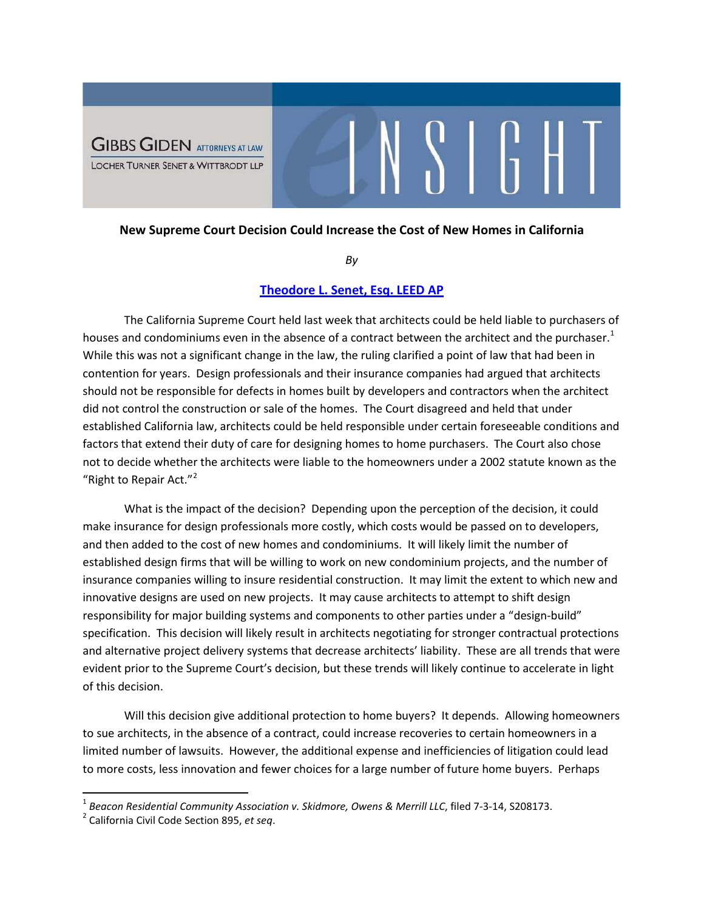

## **New Supreme Court Decision Could Increase the Cost of New Homes in California**

 $\mathcal{N}$ 

*By*

## **[Theodore L. Senet, Esq. LEED AP](http://www.ggltsw.com/attorneysii/senet-theodore-l)**

The California Supreme Court held last week that architects could be held liable to purchasers of houses and condominiums even in the absence of a contract between the architect and the purchaser.<sup>[1](#page-0-0)</sup> While this was not a significant change in the law, the ruling clarified a point of law that had been in contention for years. Design professionals and their insurance companies had argued that architects should not be responsible for defects in homes built by developers and contractors when the architect did not control the construction or sale of the homes. The Court disagreed and held that under established California law, architects could be held responsible under certain foreseeable conditions and factors that extend their duty of care for designing homes to home purchasers. The Court also chose not to decide whether the architects were liable to the homeowners under a 2002 statute known as the "Right to Repair Act."<sup>[2](#page-0-1)</sup>

What is the impact of the decision? Depending upon the perception of the decision, it could make insurance for design professionals more costly, which costs would be passed on to developers, and then added to the cost of new homes and condominiums. It will likely limit the number of established design firms that will be willing to work on new condominium projects, and the number of insurance companies willing to insure residential construction. It may limit the extent to which new and innovative designs are used on new projects. It may cause architects to attempt to shift design responsibility for major building systems and components to other parties under a "design-build" specification. This decision will likely result in architects negotiating for stronger contractual protections and alternative project delivery systems that decrease architects' liability. These are all trends that were evident prior to the Supreme Court's decision, but these trends will likely continue to accelerate in light of this decision.

Will this decision give additional protection to home buyers? It depends. Allowing homeowners to sue architects, in the absence of a contract, could increase recoveries to certain homeowners in a limited number of lawsuits. However, the additional expense and inefficiencies of litigation could lead to more costs, less innovation and fewer choices for a large number of future home buyers. Perhaps

<span id="page-0-0"></span><sup>&</sup>lt;sup>1</sup> Beacon Residential Community Association v. Skidmore, Owens & Merrill LLC, filed 7-3-14, S208173.<br><sup>2</sup> California Civil Code Section 895, *et seq*.

<span id="page-0-1"></span>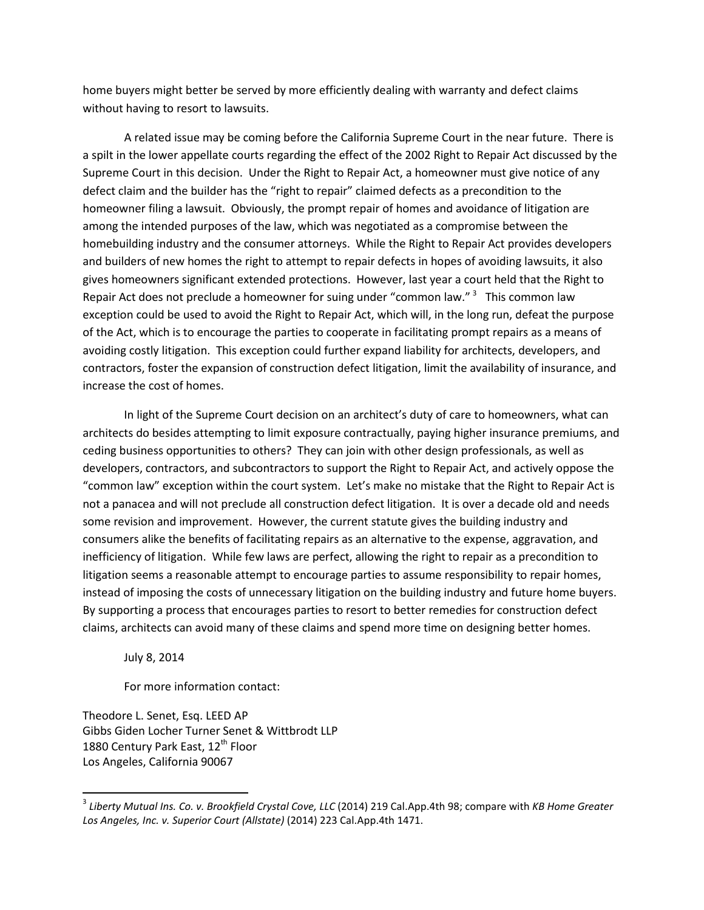home buyers might better be served by more efficiently dealing with warranty and defect claims without having to resort to lawsuits.

A related issue may be coming before the California Supreme Court in the near future. There is a spilt in the lower appellate courts regarding the effect of the 2002 Right to Repair Act discussed by the Supreme Court in this decision. Under the Right to Repair Act, a homeowner must give notice of any defect claim and the builder has the "right to repair" claimed defects as a precondition to the homeowner filing a lawsuit. Obviously, the prompt repair of homes and avoidance of litigation are among the intended purposes of the law, which was negotiated as a compromise between the homebuilding industry and the consumer attorneys. While the Right to Repair Act provides developers and builders of new homes the right to attempt to repair defects in hopes of avoiding lawsuits, it also gives homeowners significant extended protections. However, last year a court held that the Right to Repair Act does not preclude a homeowner for suing under "common law."  $3$  This common law exception could be used to avoid the Right to Repair Act, which will, in the long run, defeat the purpose of the Act, which is to encourage the parties to cooperate in facilitating prompt repairs as a means of avoiding costly litigation. This exception could further expand liability for architects, developers, and contractors, foster the expansion of construction defect litigation, limit the availability of insurance, and increase the cost of homes.

In light of the Supreme Court decision on an architect's duty of care to homeowners, what can architects do besides attempting to limit exposure contractually, paying higher insurance premiums, and ceding business opportunities to others? They can join with other design professionals, as well as developers, contractors, and subcontractors to support the Right to Repair Act, and actively oppose the "common law" exception within the court system. Let's make no mistake that the Right to Repair Act is not a panacea and will not preclude all construction defect litigation. It is over a decade old and needs some revision and improvement. However, the current statute gives the building industry and consumers alike the benefits of facilitating repairs as an alternative to the expense, aggravation, and inefficiency of litigation. While few laws are perfect, allowing the right to repair as a precondition to litigation seems a reasonable attempt to encourage parties to assume responsibility to repair homes, instead of imposing the costs of unnecessary litigation on the building industry and future home buyers. By supporting a process that encourages parties to resort to better remedies for construction defect claims, architects can avoid many of these claims and spend more time on designing better homes.

July 8, 2014

For more information contact:

Theodore L. Senet, Esq. LEED AP Gibbs Giden Locher Turner Senet & Wittbrodt LLP 1880 Century Park East, 12<sup>th</sup> Floor Los Angeles, California 90067

<span id="page-1-0"></span> <sup>3</sup> *Liberty Mutual Ins. Co. v. Brookfield Crystal Cove, LLC* (2014) 219 Cal.App.4th 98; compare with *KB Home Greater Los Angeles, Inc. v. Superior Court (Allstate)* (2014) 223 Cal.App.4th 1471.